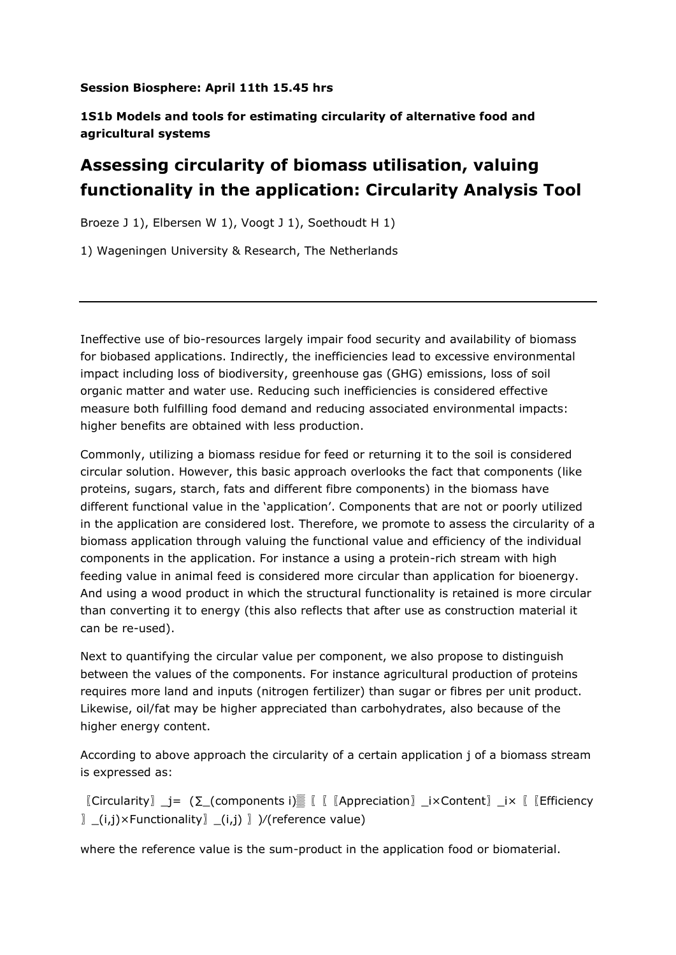## **Session Biosphere: April 11th 15.45 hrs**

## **1S1b Models and tools for estimating circularity of alternative food and agricultural systems**

## **Assessing circularity of biomass utilisation, valuing functionality in the application: Circularity Analysis Tool**

Broeze J 1), Elbersen W 1), Voogt J 1), Soethoudt H 1)

1) Wageningen University & Research, The Netherlands

Ineffective use of bio-resources largely impair food security and availability of biomass for biobased applications. Indirectly, the inefficiencies lead to excessive environmental impact including loss of biodiversity, greenhouse gas (GHG) emissions, loss of soil organic matter and water use. Reducing such inefficiencies is considered effective measure both fulfilling food demand and reducing associated environmental impacts: higher benefits are obtained with less production.

Commonly, utilizing a biomass residue for feed or returning it to the soil is considered circular solution. However, this basic approach overlooks the fact that components (like proteins, sugars, starch, fats and different fibre components) in the biomass have different functional value in the 'application'. Components that are not or poorly utilized in the application are considered lost. Therefore, we promote to assess the circularity of a biomass application through valuing the functional value and efficiency of the individual components in the application. For instance a using a protein-rich stream with high feeding value in animal feed is considered more circular than application for bioenergy. And using a wood product in which the structural functionality is retained is more circular than converting it to energy (this also reflects that after use as construction material it can be re-used).

Next to quantifying the circular value per component, we also propose to distinguish between the values of the components. For instance agricultural production of proteins requires more land and inputs (nitrogen fertilizer) than sugar or fibres per unit product. Likewise, oil/fat may be higher appreciated than carbohydrates, also because of the higher energy content.

According to above approach the circularity of a certain application j of a biomass stream is expressed as:

 $[\text{Circularity}]$  i= ( $\Sigma$  (components i)<sup>▒</sup>  $[\text{K}$  [Appreciation] ix Content] ix  $[\text{Efficiency}]$ 〗\_(i,j)×Functionality〗\_(i,j) 〗)⁄(reference value)

where the reference value is the sum-product in the application food or biomaterial.